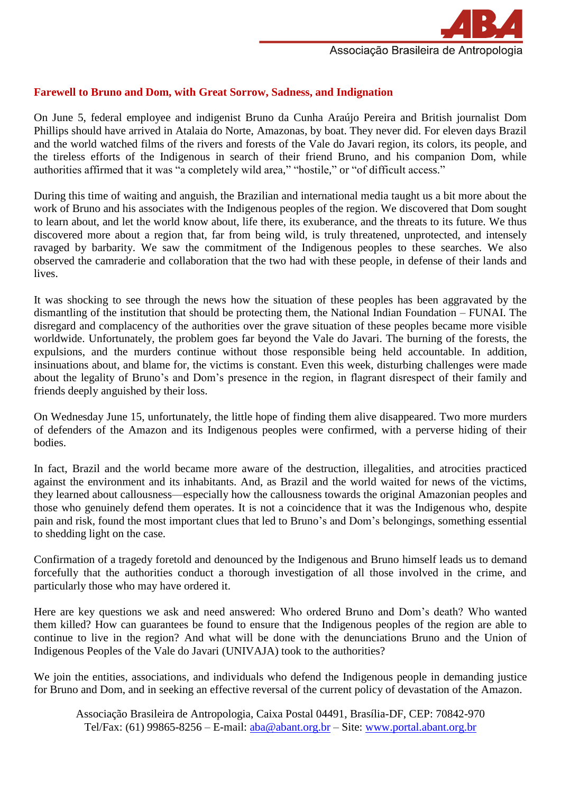

## **Farewell to Bruno and Dom, with Great Sorrow, Sadness, and Indignation**

On June 5, federal employee and indigenist Bruno da Cunha Araújo Pereira and British journalist Dom Phillips should have arrived in Atalaia do Norte, Amazonas, by boat. They never did. For eleven days Brazil and the world watched films of the rivers and forests of the Vale do Javari region, its colors, its people, and the tireless efforts of the Indigenous in search of their friend Bruno, and his companion Dom, while authorities affirmed that it was "a completely wild area," "hostile," or "of difficult access."

During this time of waiting and anguish, the Brazilian and international media taught us a bit more about the work of Bruno and his associates with the Indigenous peoples of the region. We discovered that Dom sought to learn about, and let the world know about, life there, its exuberance, and the threats to its future. We thus discovered more about a region that, far from being wild, is truly threatened, unprotected, and intensely ravaged by barbarity. We saw the commitment of the Indigenous peoples to these searches. We also observed the camraderie and collaboration that the two had with these people, in defense of their lands and lives.

It was shocking to see through the news how the situation of these peoples has been aggravated by the dismantling of the institution that should be protecting them, the National Indian Foundation – FUNAI. The disregard and complacency of the authorities over the grave situation of these peoples became more visible worldwide. Unfortunately, the problem goes far beyond the Vale do Javari. The burning of the forests, the expulsions, and the murders continue without those responsible being held accountable. In addition, insinuations about, and blame for, the victims is constant. Even this week, disturbing challenges were made about the legality of Bruno's and Dom's presence in the region, in flagrant disrespect of their family and friends deeply anguished by their loss.

On Wednesday June 15, unfortunately, the little hope of finding them alive disappeared. Two more murders of defenders of the Amazon and its Indigenous peoples were confirmed, with a perverse hiding of their bodies.

In fact, Brazil and the world became more aware of the destruction, illegalities, and atrocities practiced against the environment and its inhabitants. And, as Brazil and the world waited for news of the victims, they learned about callousness—especially how the callousness towards the original Amazonian peoples and those who genuinely defend them operates. It is not a coincidence that it was the Indigenous who, despite pain and risk, found the most important clues that led to Bruno's and Dom's belongings, something essential to shedding light on the case.

Confirmation of a tragedy foretold and denounced by the Indigenous and Bruno himself leads us to demand forcefully that the authorities conduct a thorough investigation of all those involved in the crime, and particularly those who may have ordered it.

Here are key questions we ask and need answered: Who ordered Bruno and Dom's death? Who wanted them killed? How can guarantees be found to ensure that the Indigenous peoples of the region are able to continue to live in the region? And what will be done with the denunciations Bruno and the Union of Indigenous Peoples of the Vale do Javari (UNIVAJA) took to the authorities?

We join the entities, associations, and individuals who defend the Indigenous people in demanding justice for Bruno and Dom, and in seeking an effective reversal of the current policy of devastation of the Amazon.

Associação Brasileira de Antropologia, Caixa Postal 04491, Brasília-DF, CEP: 70842-970 Tel/Fax: (61) 99865-8256 – E-mail:  $aba@abant.org.br - Site: www.portal.about.org.br$